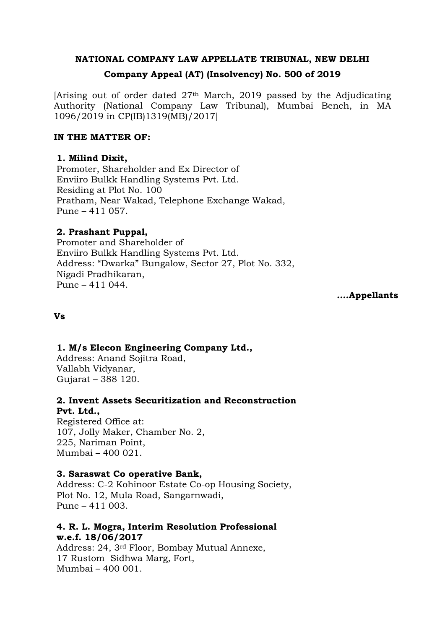# **NATIONAL COMPANY LAW APPELLATE TRIBUNAL, NEW DELHI**

# **Company Appeal (AT) (Insolvency) No. 500 of 2019**

[Arising out of order dated 27th March, 2019 passed by the Adjudicating Authority (National Company Law Tribunal), Mumbai Bench, in MA 1096/2019 in CP(IB)1319(MB)/2017]

# **IN THE MATTER OF:**

# **1. Milind Dixit,**

Promoter, Shareholder and Ex Director of Enviiro Bulkk Handling Systems Pvt. Ltd. Residing at Plot No. 100 Pratham, Near Wakad, Telephone Exchange Wakad, Pune – 411 057.

# **2. Prashant Puppal,**

Promoter and Shareholder of Enviiro Bulkk Handling Systems Pvt. Ltd. Address: "Dwarka" Bungalow, Sector 27, Plot No. 332, Nigadi Pradhikaran, Pune – 411 044.

**.…Appellants**

#### **Vs**

# **1. M/s Elecon Engineering Company Ltd.,**

Address: Anand Sojitra Road, Vallabh Vidyanar, Gujarat – 388 120.

# **2. Invent Assets Securitization and Reconstruction Pvt. Ltd.,**

Registered Office at: 107, Jolly Maker, Chamber No. 2, 225, Nariman Point, Mumbai – 400 021.

#### **3. Saraswat Co operative Bank,**

Address: C-2 Kohinoor Estate Co-op Housing Society, Plot No. 12, Mula Road, Sangarnwadi, Pune – 411 003.

# **4. R. L. Mogra, Interim Resolution Professional w.e.f. 18/06/2017**

Address: 24, 3rd Floor, Bombay Mutual Annexe, 17 Rustom Sidhwa Marg, Fort, Mumbai – 400 001.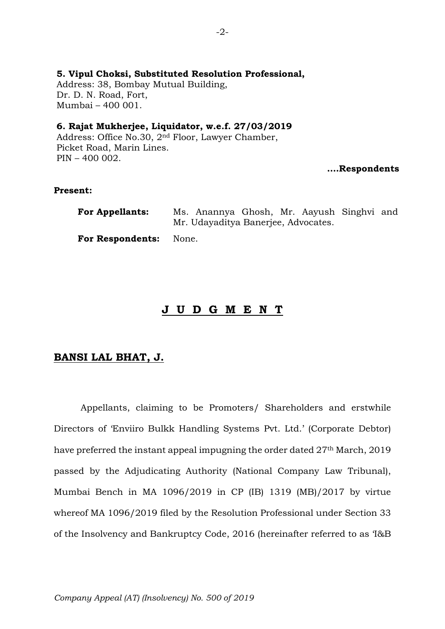# **5. Vipul Choksi, Substituted Resolution Professional,**

Address: 38, Bombay Mutual Building, Dr. D. N. Road, Fort, Mumbai – 400 001.

# **6. Rajat Mukherjee, Liquidator, w.e.f. 27/03/2019**

Address: Office No.30, 2nd Floor, Lawyer Chamber, Picket Road, Marin Lines. PIN – 400 002.

#### **….Respondents**

# **Present:**

| <b>For Appellants:</b> |                                     | Ms. Anannya Ghosh, Mr. Aayush Singhvi and |  |  |  |  |  |
|------------------------|-------------------------------------|-------------------------------------------|--|--|--|--|--|
|                        | Mr. Udayaditya Banerjee, Advocates. |                                           |  |  |  |  |  |
| For Respondents: None. |                                     |                                           |  |  |  |  |  |

# **J U D G M E N T**

# **BANSI LAL BHAT, J.**

Appellants, claiming to be Promoters/ Shareholders and erstwhile Directors of 'Enviiro Bulkk Handling Systems Pvt. Ltd.' (Corporate Debtor) have preferred the instant appeal impugning the order dated 27<sup>th</sup> March, 2019 passed by the Adjudicating Authority (National Company Law Tribunal), Mumbai Bench in MA 1096/2019 in CP (IB) 1319 (MB)/2017 by virtue whereof MA 1096/2019 filed by the Resolution Professional under Section 33 of the Insolvency and Bankruptcy Code, 2016 (hereinafter referred to as 'I&B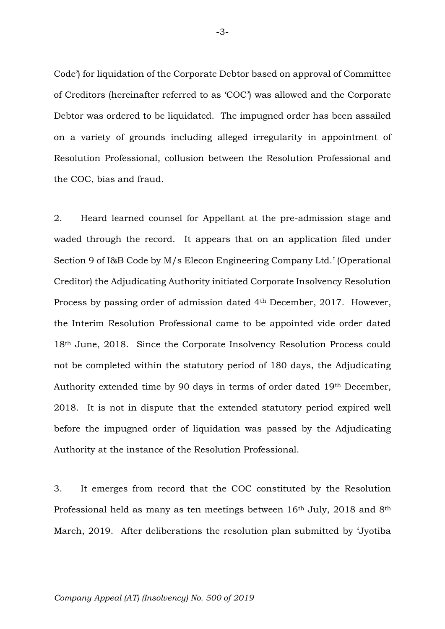Code') for liquidation of the Corporate Debtor based on approval of Committee of Creditors (hereinafter referred to as 'COC') was allowed and the Corporate Debtor was ordered to be liquidated. The impugned order has been assailed on a variety of grounds including alleged irregularity in appointment of Resolution Professional, collusion between the Resolution Professional and the COC, bias and fraud.

2. Heard learned counsel for Appellant at the pre-admission stage and waded through the record. It appears that on an application filed under Section 9 of I&B Code by M/s Elecon Engineering Company Ltd.' (Operational Creditor) the Adjudicating Authority initiated Corporate Insolvency Resolution Process by passing order of admission dated 4th December, 2017. However, the Interim Resolution Professional came to be appointed vide order dated 18th June, 2018. Since the Corporate Insolvency Resolution Process could not be completed within the statutory period of 180 days, the Adjudicating Authority extended time by 90 days in terms of order dated 19th December, 2018. It is not in dispute that the extended statutory period expired well before the impugned order of liquidation was passed by the Adjudicating Authority at the instance of the Resolution Professional.

3. It emerges from record that the COC constituted by the Resolution Professional held as many as ten meetings between  $16<sup>th</sup>$  July, 2018 and  $8<sup>th</sup>$ March, 2019. After deliberations the resolution plan submitted by 'Jyotiba

-3-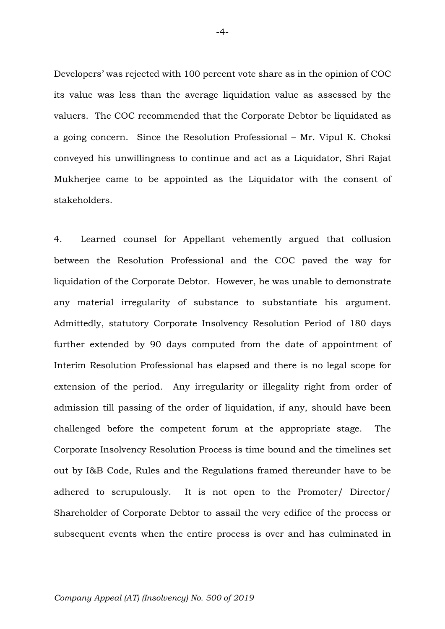Developers' was rejected with 100 percent vote share as in the opinion of COC its value was less than the average liquidation value as assessed by the valuers. The COC recommended that the Corporate Debtor be liquidated as a going concern. Since the Resolution Professional – Mr. Vipul K. Choksi conveyed his unwillingness to continue and act as a Liquidator, Shri Rajat Mukherjee came to be appointed as the Liquidator with the consent of stakeholders.

4. Learned counsel for Appellant vehemently argued that collusion between the Resolution Professional and the COC paved the way for liquidation of the Corporate Debtor. However, he was unable to demonstrate any material irregularity of substance to substantiate his argument. Admittedly, statutory Corporate Insolvency Resolution Period of 180 days further extended by 90 days computed from the date of appointment of Interim Resolution Professional has elapsed and there is no legal scope for extension of the period. Any irregularity or illegality right from order of admission till passing of the order of liquidation, if any, should have been challenged before the competent forum at the appropriate stage. The Corporate Insolvency Resolution Process is time bound and the timelines set out by I&B Code, Rules and the Regulations framed thereunder have to be adhered to scrupulously. It is not open to the Promoter/ Director/ Shareholder of Corporate Debtor to assail the very edifice of the process or subsequent events when the entire process is over and has culminated in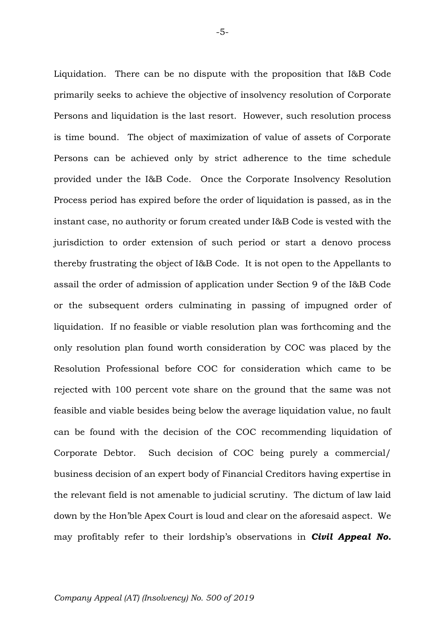Liquidation. There can be no dispute with the proposition that I&B Code primarily seeks to achieve the objective of insolvency resolution of Corporate Persons and liquidation is the last resort. However, such resolution process is time bound. The object of maximization of value of assets of Corporate Persons can be achieved only by strict adherence to the time schedule provided under the I&B Code. Once the Corporate Insolvency Resolution Process period has expired before the order of liquidation is passed, as in the instant case, no authority or forum created under I&B Code is vested with the jurisdiction to order extension of such period or start a denovo process thereby frustrating the object of I&B Code. It is not open to the Appellants to assail the order of admission of application under Section 9 of the I&B Code or the subsequent orders culminating in passing of impugned order of liquidation. If no feasible or viable resolution plan was forthcoming and the only resolution plan found worth consideration by COC was placed by the Resolution Professional before COC for consideration which came to be rejected with 100 percent vote share on the ground that the same was not feasible and viable besides being below the average liquidation value, no fault can be found with the decision of the COC recommending liquidation of Corporate Debtor. Such decision of COC being purely a commercial/ business decision of an expert body of Financial Creditors having expertise in the relevant field is not amenable to judicial scrutiny. The dictum of law laid down by the Hon'ble Apex Court is loud and clear on the aforesaid aspect. We may profitably refer to their lordship's observations in *Civil Appeal No.*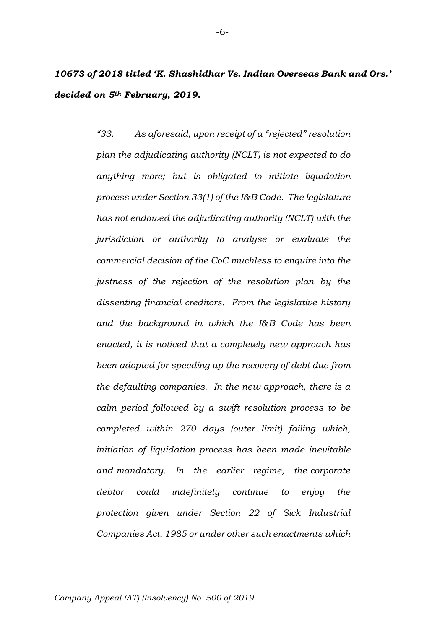*10673 of 2018 titled 'K. Shashidhar Vs. Indian Overseas Bank and Ors.' decided on 5th February, 2019.*

> *"33. As aforesaid, upon receipt of a "rejected" resolution plan the adjudicating authority (NCLT) is not expected to do anything more; but is obligated to initiate liquidation process under Section 33(1) of the I&B Code. The legislature has not endowed the adjudicating authority (NCLT) with the jurisdiction or authority to analyse or evaluate the commercial decision of the CoC muchless to enquire into the justness of the rejection of the resolution plan by the dissenting financial creditors. From the legislative history and the background in which the I&B Code has been enacted, it is noticed that a completely new approach has been adopted for speeding up the recovery of debt due from the defaulting companies. In the new approach, there is a calm period followed by a swift resolution process to be completed within 270 days (outer limit) failing which, initiation of liquidation process has been made inevitable and mandatory. In the earlier regime, the corporate debtor could indefinitely continue to enjoy the protection given under Section 22 of Sick Industrial Companies Act, 1985 or under other such enactments which*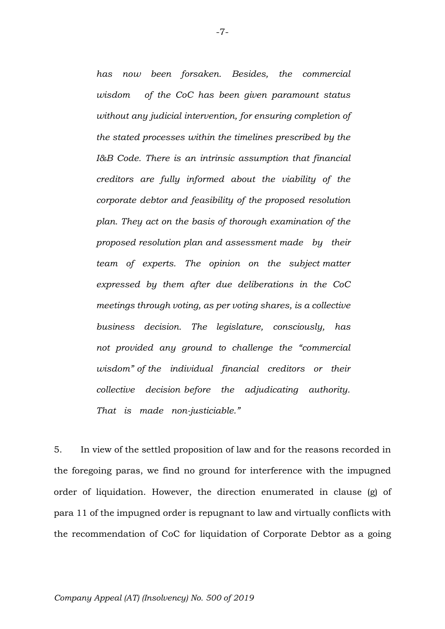*has now been forsaken. Besides, the commercial wisdom of the CoC has been given paramount status without any judicial intervention, for ensuring completion of the stated processes within the timelines prescribed by the I&B Code. There is an intrinsic assumption that financial creditors are fully informed about the viability of the corporate debtor and feasibility of the proposed resolution plan. They act on the basis of thorough examination of the proposed resolution plan and assessment made by their team of experts. The opinion on the subject matter expressed by them after due deliberations in the CoC meetings through voting, as per voting shares, is a collective business decision. The legislature, consciously, has not provided any ground to challenge the "commercial wisdom" of the individual financial creditors or their collective decision before the adjudicating authority.*  That is made non-justiciable."

5. In view of the settled proposition of law and for the reasons recorded in the foregoing paras, we find no ground for interference with the impugned order of liquidation. However, the direction enumerated in clause (g) of para 11 of the impugned order is repugnant to law and virtually conflicts with the recommendation of CoC for liquidation of Corporate Debtor as a going